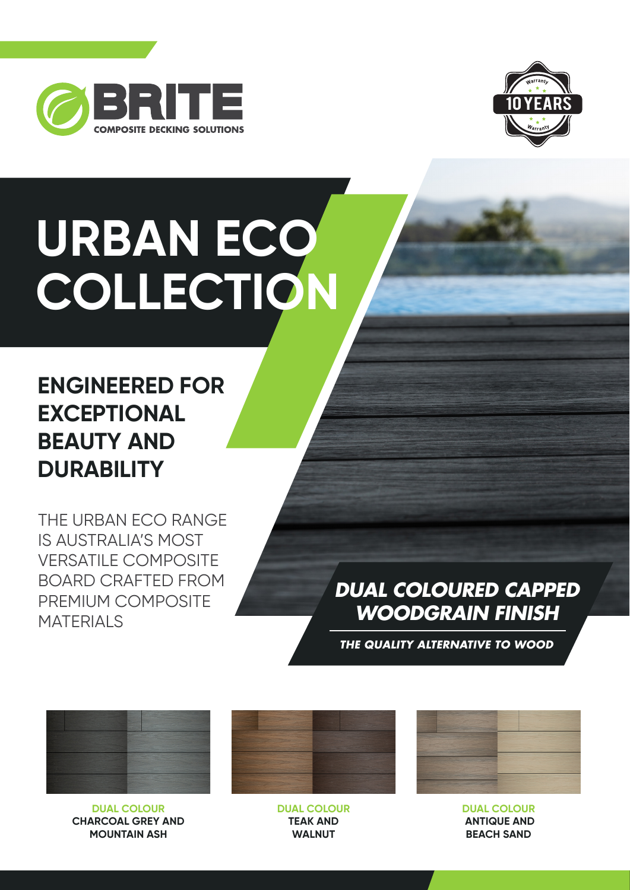



# **URBAN ECO COLLECTION**

## **ENGINEERED FOR EXCEPTIONAL BEAUTY AND DURABILITY**

THE URBAN ECO RANGE IS AUSTRALIA'S MOST VERSATILE COMPOSITE BOARD CRAFTED FROM PREMIUM COMPOSITE **MATERIALS** 

## *DUAL COLOURED CAPPED WOODGRAIN FINISH*

*THE QUALITY ALTERNATIVE TO WOOD*



**DUAL COLOUR CHARCOAL GREY AND MOUNTAIN ASH**

**DUAL COLOUR TEAK AND WALNUT**



**DUAL COLOUR ANTIQUE AND BEACH SAND**